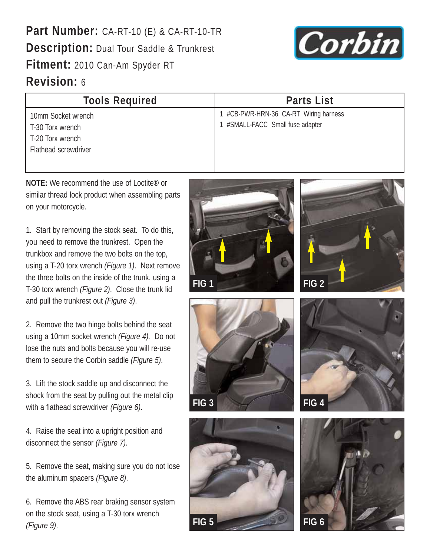**Part Number:** CA-RT-10 (E) & CA-RT-10-TR **Description:** Dual Tour Saddle & Trunkrest **Fitment:** 2010 Can-Am Spyder RT **Revision:** 6



| <b>Tools Required</b>                                                              | <b>Parts List</b>                                                     |
|------------------------------------------------------------------------------------|-----------------------------------------------------------------------|
| 10mm Socket wrench<br>T-30 Torx wrench<br>T-20 Torx wrench<br>Flathead screwdriver | #CB-PWR-HRN-36 CA-RT Wiring harness<br>#SMALL-FACC Small fuse adapter |

**NOTE:** We recommend the use of Loctite® or similar thread lock product when assembling parts on your motorcycle.

1. Start by removing the stock seat. To do this, you need to remove the trunkrest. Open the trunkbox and remove the two bolts on the top, using a T-20 torx wrench *(Figure 1)*. Next remove the three bolts on the inside of the trunk, using a T-30 torx wrench *(Figure 2)*. Close the trunk lid and pull the trunkrest out *(Figure 3)*.

2. Remove the two hinge bolts behind the seat using a 10mm socket wrench *(Figure 4).* Do not lose the nuts and bolts because you will re-use them to secure the Corbin saddle *(Figure 5)*.

3. Lift the stock saddle up and disconnect the shock from the seat by pulling out the metal clip with a flathead screwdriver *(Figure 6)*.

4. Raise the seat into a upright position and disconnect the sensor *(Figure 7)*.

5. Remove the seat, making sure you do not lose the aluminum spacers *(Figure 8)*.

6. Remove the ABS rear braking sensor system on the stock seat, using a T-30 torx wrench *(Figure 9)*.









**FIG 3**



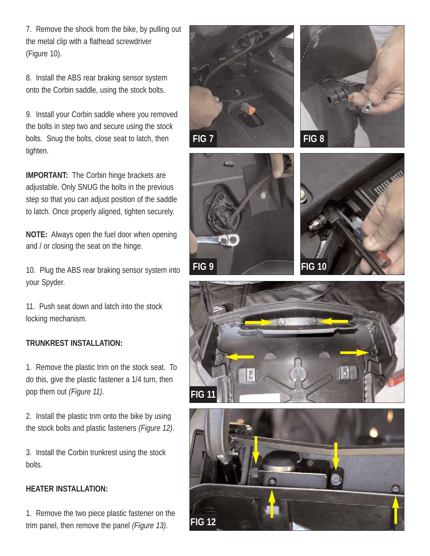7. Remove the shock from the bike, by pulling out the metal clip with a flathead screwdriver (Figure 10).

8. Install the ABS rear braking sensor system onto the Corbin saddle, using the stock bolts.

9. Install your Corbin saddle where you removed the bolts in step two and secure using the stock bolts. Snug the bolts, close seat to latch, then tighten.

**IMPORTANT:** The Corbin hinge brackets are adjustable. Only SNUG the bolts in the previous step so that you can adjust position of the saddle to latch. Once properly aligned, tighten securely.

**NOTE:** Always open the fuel door when opening and / or closing the seat on the hinge.

10. Plug the ABS rear braking sensor system into your Spyder.

11. Push seat down and latch into the stock locking mechanism.

## **TRUNKREST INSTALLATION:**

1. Remove the plastic trim on the stock seat. To do this, give the plastic fastener a 1/4 turn, then pop them out *(Figure 11)*.

2. Install the plastic trim onto the bike by using the stock bolts and plastic fasteners *(Figure 12)*.

3. Install the Corbin trunkrest using the stock bolts.

## **HEATER INSTALLATION:**

1. Remove the two piece plastic fastener on the trim panel, then remove the panel *(Figure 13)*.











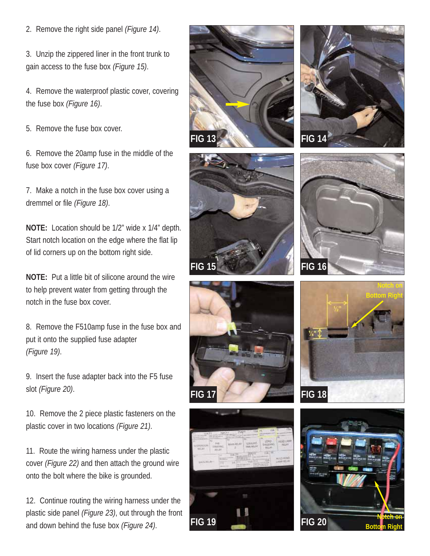2. Remove the right side panel *(Figure 14)*.

3. Unzip the zippered liner in the front trunk to gain access to the fuse box *(Figure 15)*.

4. Remove the waterproof plastic cover, covering the fuse box *(Figure 16)*.

5. Remove the fuse box cover.

6. Remove the 20amp fuse in the middle of the fuse box cover *(Figure 17)*.

7. Make a notch in the fuse box cover using a dremmel or file *(Figure 18)*.

**NOTE:** Location should be 1/2" wide x 1/4" depth. Start notch location on the edge where the flat lip of lid corners up on the bottom right side.

**NOTE:** Put a little bit of silicone around the wire to help prevent water from getting through the notch in the fuse box cover.

8. Remove the F510amp fuse in the fuse box and put it onto the supplied fuse adapter *(Figure 19)*.

9. Insert the fuse adapter back into the F5 fuse slot *(Figure 20)*.

10. Remove the 2 piece plastic fasteners on the plastic cover in two locations *(Figure 21)*.

11. Route the wiring harness under the plastic cover *(Figure 22)* and then attach the ground wire onto the bolt where the bike is grounded.

12. Continue routing the wiring harness under the plastic side panel *(Figure 23)*, out through the front and down behind the fuse box *(Figure 24)*.